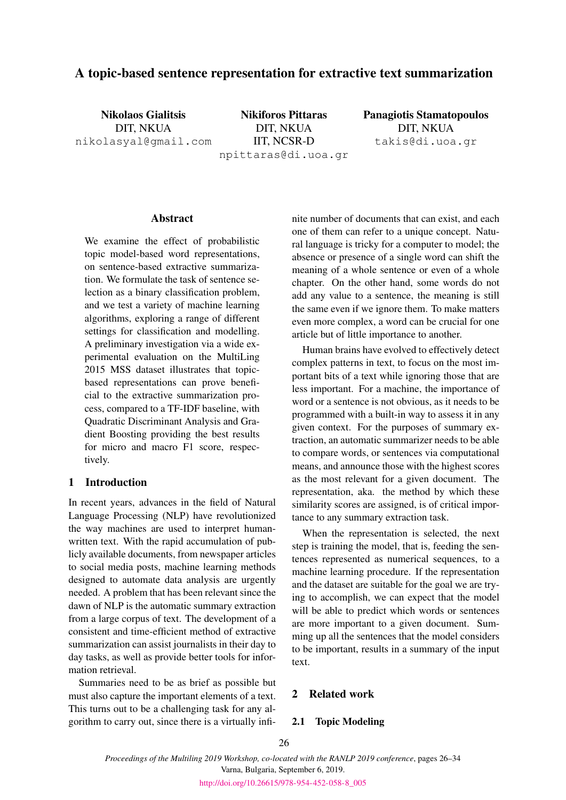# A topic-based sentence representation for extractive text summarization

Nikolaos Gialitsis DIT, NKUA nikolasyal@gmail.com

Nikiforos Pittaras DIT, NKUA IIT, NCSR-D npittaras@di.uoa.gr

Panagiotis Stamatopoulos DIT, NKUA takis@di.uoa.gr

#### Abstract

We examine the effect of probabilistic topic model-based word representations, on sentence-based extractive summarization. We formulate the task of sentence selection as a binary classification problem, and we test a variety of machine learning algorithms, exploring a range of different settings for classification and modelling. A preliminary investigation via a wide experimental evaluation on the MultiLing 2015 MSS dataset illustrates that topicbased representations can prove beneficial to the extractive summarization process, compared to a TF-IDF baseline, with Quadratic Discriminant Analysis and Gradient Boosting providing the best results for micro and macro F1 score, respectively.

## 1 Introduction

In recent years, advances in the field of Natural Language Processing (NLP) have revolutionized the way machines are used to interpret humanwritten text. With the rapid accumulation of publicly available documents, from newspaper articles to social media posts, machine learning methods designed to automate data analysis are urgently needed. A problem that has been relevant since the dawn of NLP is the automatic summary extraction from a large corpus of text. The development of a consistent and time-efficient method of extractive summarization can assist journalists in their day to day tasks, as well as provide better tools for information retrieval.

Summaries need to be as brief as possible but must also capture the important elements of a text. This turns out to be a challenging task for any algorithm to carry out, since there is a virtually infinite number of documents that can exist, and each one of them can refer to a unique concept. Natural language is tricky for a computer to model; the absence or presence of a single word can shift the meaning of a whole sentence or even of a whole chapter. On the other hand, some words do not add any value to a sentence, the meaning is still the same even if we ignore them. To make matters even more complex, a word can be crucial for one article but of little importance to another.

Human brains have evolved to effectively detect complex patterns in text, to focus on the most important bits of a text while ignoring those that are less important. For a machine, the importance of word or a sentence is not obvious, as it needs to be programmed with a built-in way to assess it in any given context. For the purposes of summary extraction, an automatic summarizer needs to be able to compare words, or sentences via computational means, and announce those with the highest scores as the most relevant for a given document. The representation, aka. the method by which these similarity scores are assigned, is of critical importance to any summary extraction task.

When the representation is selected, the next step is training the model, that is, feeding the sentences represented as numerical sequences, to a machine learning procedure. If the representation and the dataset are suitable for the goal we are trying to accomplish, we can expect that the model will be able to predict which words or sentences are more important to a given document. Summing up all the sentences that the model considers to be important, results in a summary of the input text.

# 2 Related work

### 2.1 Topic Modeling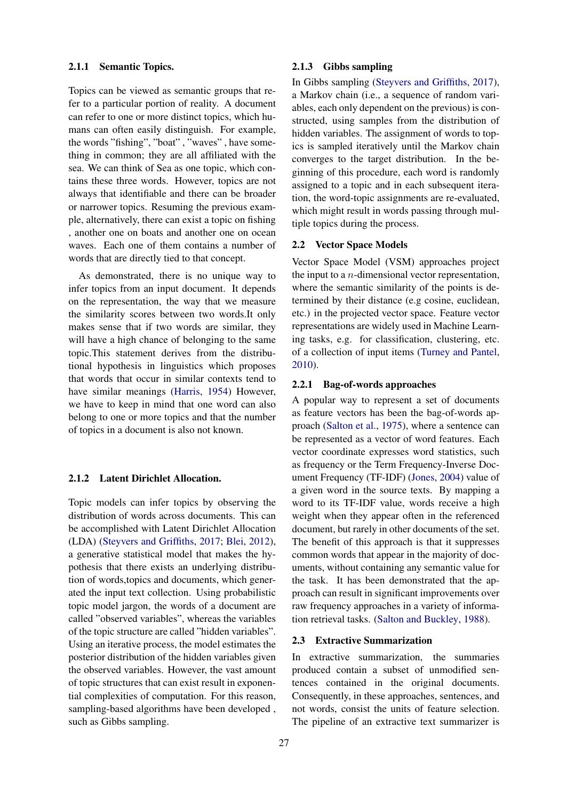#### 2.1.1 Semantic Topics.

Topics can be viewed as semantic groups that refer to a particular portion of reality. A document can refer to one or more distinct topics, which humans can often easily distinguish. For example, the words "fishing", "boat" , "waves" , have something in common; they are all affiliated with the sea. We can think of Sea as one topic, which contains these three words. However, topics are not always that identifiable and there can be broader or narrower topics. Resuming the previous example, alternatively, there can exist a topic on fishing , another one on boats and another one on ocean waves. Each one of them contains a number of words that are directly tied to that concept.

As demonstrated, there is no unique way to infer topics from an input document. It depends on the representation, the way that we measure the similarity scores between two words.It only makes sense that if two words are similar, they will have a high chance of belonging to the same topic.This statement derives from the distributional hypothesis in linguistics which proposes that words that occur in similar contexts tend to have similar meanings [\(Harris,](#page-8-0) [1954\)](#page-8-0) However, we have to keep in mind that one word can also belong to one or more topics and that the number of topics in a document is also not known.

#### 2.1.2 Latent Dirichlet Allocation.

Topic models can infer topics by observing the distribution of words across documents. This can be accomplished with Latent Dirichlet Allocation (LDA) [\(Steyvers and Griffiths,](#page-8-1) [2017;](#page-8-1) [Blei,](#page-8-2) [2012\)](#page-8-2), a generative statistical model that makes the hypothesis that there exists an underlying distribution of words,topics and documents, which generated the input text collection. Using probabilistic topic model jargon, the words of a document are called "observed variables", whereas the variables of the topic structure are called "hidden variables". Using an iterative process, the model estimates the posterior distribution of the hidden variables given the observed variables. However, the vast amount of topic structures that can exist result in exponential complexities of computation. For this reason, sampling-based algorithms have been developed , such as Gibbs sampling.

## 2.1.3 Gibbs sampling

In Gibbs sampling [\(Steyvers and Griffiths,](#page-8-1) [2017\)](#page-8-1), a Markov chain (i.e., a sequence of random variables, each only dependent on the previous) is constructed, using samples from the distribution of hidden variables. The assignment of words to topics is sampled iteratively until the Markov chain converges to the target distribution. In the beginning of this procedure, each word is randomly assigned to a topic and in each subsequent iteration, the word-topic assignments are re-evaluated, which might result in words passing through multiple topics during the process.

#### 2.2 Vector Space Models

Vector Space Model (VSM) approaches project the input to a  $n$ -dimensional vector representation, where the semantic similarity of the points is determined by their distance (e.g cosine, euclidean, etc.) in the projected vector space. Feature vector representations are widely used in Machine Learning tasks, e.g. for classification, clustering, etc. of a collection of input items [\(Turney and Pantel,](#page-8-3) [2010\)](#page-8-3).

#### 2.2.1 Bag-of-words approaches

A popular way to represent a set of documents as feature vectors has been the bag-of-words approach [\(Salton et al.,](#page-8-4) [1975\)](#page-8-4), where a sentence can be represented as a vector of word features. Each vector coordinate expresses word statistics, such as frequency or the Term Frequency-Inverse Document Frequency (TF-IDF) [\(Jones,](#page-8-5) [2004\)](#page-8-5) value of a given word in the source texts. By mapping a word to its TF-IDF value, words receive a high weight when they appear often in the referenced document, but rarely in other documents of the set. The benefit of this approach is that it suppresses common words that appear in the majority of documents, without containing any semantic value for the task. It has been demonstrated that the approach can result in significant improvements over raw frequency approaches in a variety of information retrieval tasks. [\(Salton and Buckley,](#page-8-6) [1988\)](#page-8-6).

### 2.3 Extractive Summarization

In extractive summarization, the summaries produced contain a subset of unmodified sentences contained in the original documents. Consequently, in these approaches, sentences, and not words, consist the units of feature selection. The pipeline of an extractive text summarizer is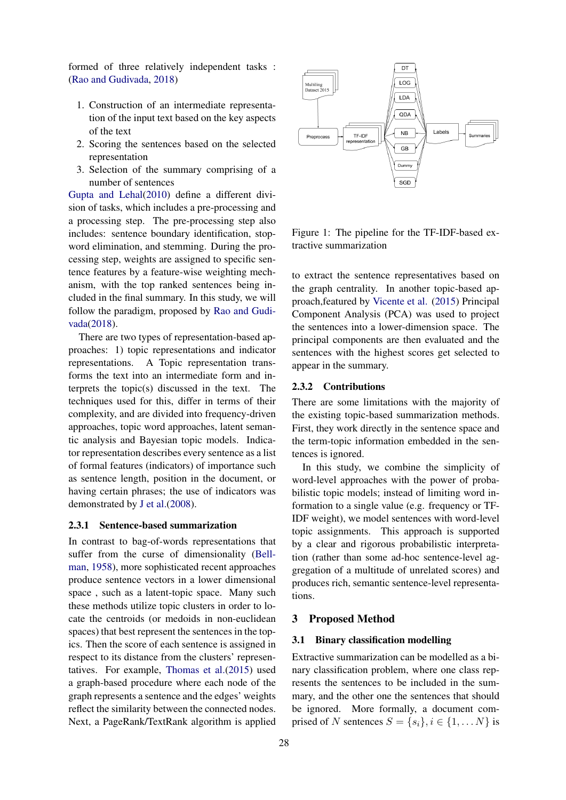formed of three relatively independent tasks : [\(Rao and Gudivada,](#page-8-7) [2018\)](#page-8-7)

- 1. Construction of an intermediate representation of the input text based on the key aspects of the text
- 2. Scoring the sentences based on the selected representation
- 3. Selection of the summary comprising of a number of sentences

[Gupta and Lehal\(2010\)](#page-8-8) define a different division of tasks, which includes a pre-processing and a processing step. The pre-processing step also includes: sentence boundary identification, stopword elimination, and stemming. During the processing step, weights are assigned to specific sentence features by a feature-wise weighting mechanism, with the top ranked sentences being included in the final summary. In this study, we will follow the paradigm, proposed by [Rao and Gudi](#page-8-7)[vada\(2018\)](#page-8-7).

There are two types of representation-based approaches: 1) topic representations and indicator representations. A Topic representation transforms the text into an intermediate form and interprets the topic(s) discussed in the text. The techniques used for this, differ in terms of their complexity, and are divided into frequency-driven approaches, topic word approaches, latent semantic analysis and Bayesian topic models. Indicator representation describes every sentence as a list of formal features (indicators) of importance such as sentence length, position in the document, or having certain phrases; the use of indicators was demonstrated by [J et al.\(2008\)](#page-8-9).

#### 2.3.1 Sentence-based summarization

In contrast to bag-of-words representations that suffer from the curse of dimensionality [\(Bell](#page-8-10)[man,](#page-8-10) [1958\)](#page-8-10), more sophisticated recent approaches produce sentence vectors in a lower dimensional space , such as a latent-topic space. Many such these methods utilize topic clusters in order to locate the centroids (or medoids in non-euclidean spaces) that best represent the sentences in the topics. Then the score of each sentence is assigned in respect to its distance from the clusters' representatives. For example, [Thomas et al.\(2015\)](#page-8-11) used a graph-based procedure where each node of the graph represents a sentence and the edges' weights reflect the similarity between the connected nodes. Next, a PageRank/TextRank algorithm is applied



<span id="page-2-0"></span>Figure 1: The pipeline for the TF-IDF-based extractive summarization

to extract the sentence representatives based on the graph centrality. In another topic-based approach,featured by [Vicente et al.](#page-8-12) [\(2015\)](#page-8-12) Principal Component Analysis (PCA) was used to project the sentences into a lower-dimension space. The principal components are then evaluated and the sentences with the highest scores get selected to appear in the summary.

#### 2.3.2 Contributions

There are some limitations with the majority of the existing topic-based summarization methods. First, they work directly in the sentence space and the term-topic information embedded in the sentences is ignored.

In this study, we combine the simplicity of word-level approaches with the power of probabilistic topic models; instead of limiting word information to a single value (e.g. frequency or TF-IDF weight), we model sentences with word-level topic assignments. This approach is supported by a clear and rigorous probabilistic interpretation (rather than some ad-hoc sentence-level aggregation of a multitude of unrelated scores) and produces rich, semantic sentence-level representations.

## 3 Proposed Method

### 3.1 Binary classification modelling

Extractive summarization can be modelled as a binary classification problem, where one class represents the sentences to be included in the summary, and the other one the sentences that should be ignored. More formally, a document comprised of N sentences  $S = \{s_i\}, i \in \{1, \dots N\}$  is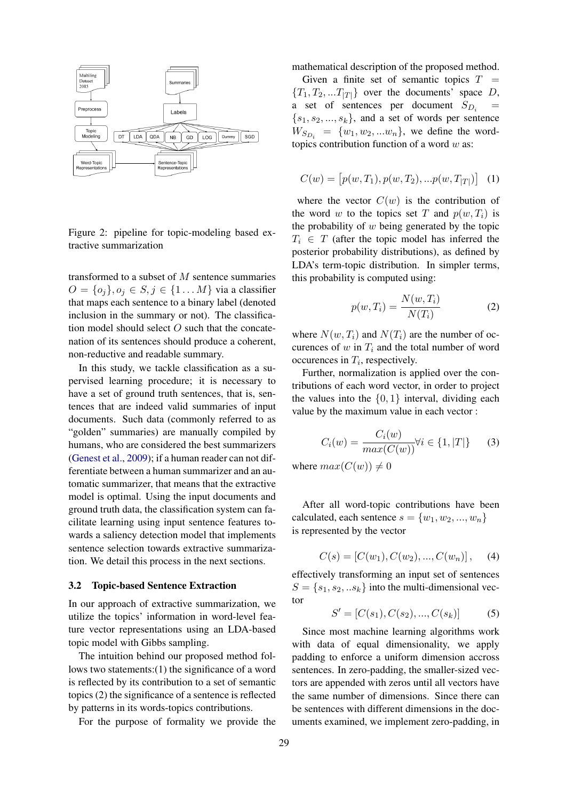

<span id="page-3-2"></span>Figure 2: pipeline for topic-modeling based extractive summarization

transformed to a subset of M sentence summaries  $O = \{o_i\}, o_i \in S, j \in \{1 \dots M\}$  via a classifier that maps each sentence to a binary label (denoted inclusion in the summary or not). The classification model should select  $O$  such that the concatenation of its sentences should produce a coherent, non-reductive and readable summary.

In this study, we tackle classification as a supervised learning procedure; it is necessary to have a set of ground truth sentences, that is, sentences that are indeed valid summaries of input documents. Such data (commonly referred to as "golden" summaries) are manually compiled by humans, who are considered the best summarizers [\(Genest et al.,](#page-8-13) [2009\)](#page-8-13); if a human reader can not differentiate between a human summarizer and an automatic summarizer, that means that the extractive model is optimal. Using the input documents and ground truth data, the classification system can facilitate learning using input sentence features towards a saliency detection model that implements sentence selection towards extractive summarization. We detail this process in the next sections.

#### <span id="page-3-1"></span>3.2 Topic-based Sentence Extraction

In our approach of extractive summarization, we utilize the topics' information in word-level feature vector representations using an LDA-based topic model with Gibbs sampling.

The intuition behind our proposed method follows two statements:(1) the significance of a word is reflected by its contribution to a set of semantic topics (2) the significance of a sentence is reflected by patterns in its words-topics contributions.

For the purpose of formality we provide the

mathematical description of the proposed method.

Given a finite set of semantic topics  $T =$  ${T_1, T_2, ... T_{|T|}}$  over the documents' space D, a set of sentences per document  $S_{D_i}$  $\{s_1, s_2, ..., s_k\}$ , and a set of words per sentence  $W_{S_{D_i}} = \{w_1, w_2, ... w_n\}$ , we define the wordtopics contribution function of a word  $w$  as:

$$
C(w) = [p(w, T_1), p(w, T_2), ... p(w, T_{|T|})]
$$
 (1)

where the vector  $C(w)$  is the contribution of the word w to the topics set T and  $p(w, T_i)$  is the probability of  $w$  being generated by the topic  $T_i \in T$  (after the topic model has inferred the posterior probability distributions), as defined by LDA's term-topic distribution. In simpler terms, this probability is computed using:

$$
p(w,T_i) = \frac{N(w,T_i)}{N(T_i)}
$$
\n(2)

where  $N(w, T_i)$  and  $N(T_i)$  are the number of occurences of  $w$  in  $T_i$  and the total number of word occurences in  $T_i$ , respectively.

Further, normalization is applied over the contributions of each word vector, in order to project the values into the  $\{0, 1\}$  interval, dividing each value by the maximum value in each vector :

$$
C_i(w) = \frac{C_i(w)}{max(C(w))} \forall i \in \{1, |T|\}
$$
 (3)

where  $max(C(w)) \neq 0$ 

After all word-topic contributions have been calculated, each sentence  $s = \{w_1, w_2, ..., w_n\}$ is represented by the vector

<span id="page-3-3"></span>
$$
C(s) = [C(w_1), C(w_2), ..., C(w_n)], \quad (4)
$$

<span id="page-3-0"></span>effectively transforming an input set of sentences  $S = \{s_1, s_2, \ldots s_k\}$  into the multi-dimensional vector

$$
S' = [C(s_1), C(s_2), ..., C(s_k)]
$$
 (5)

Since most machine learning algorithms work with data of equal dimensionality, we apply padding to enforce a uniform dimension accross sentences. In zero-padding, the smaller-sized vectors are appended with zeros until all vectors have the same number of dimensions. Since there can be sentences with different dimensions in the documents examined, we implement zero-padding, in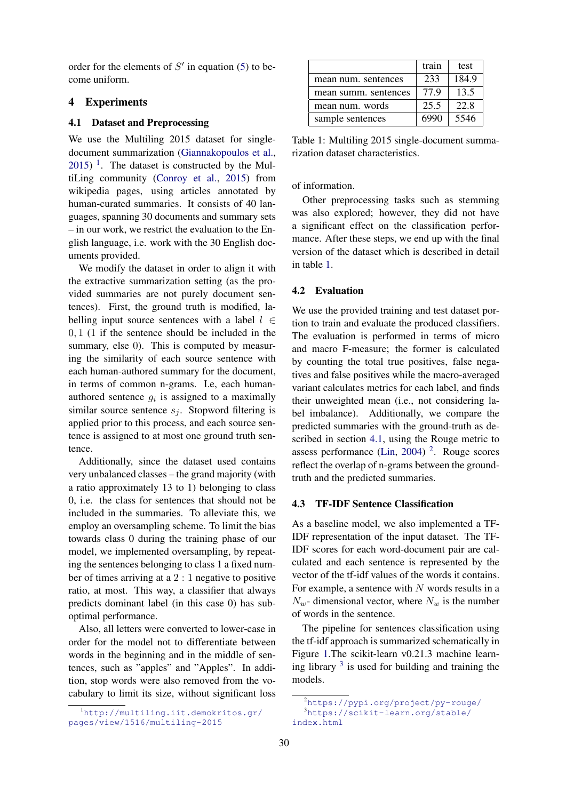order for the elements of  $S'$  in equation [\(5\)](#page-3-0) to become uniform.

## 4 Experiments

#### <span id="page-4-2"></span>4.1 Dataset and Preprocessing

We use the Multiling 2015 dataset for singledocument summarization [\(Giannakopoulos et al.,](#page-8-14)  $2015$  $2015$  $2015$ )<sup>1</sup>. The dataset is constructed by the MultiLing community [\(Conroy et al.,](#page-8-15) [2015\)](#page-8-15) from wikipedia pages, using articles annotated by human-curated summaries. It consists of 40 languages, spanning 30 documents and summary sets – in our work, we restrict the evaluation to the English language, i.e. work with the 30 English documents provided.

We modify the dataset in order to align it with the extractive summarization setting (as the provided summaries are not purely document sentences). First, the ground truth is modified, labelling input source sentences with a label  $l \in$ 0, 1 (1 if the sentence should be included in the summary, else 0). This is computed by measuring the similarity of each source sentence with each human-authored summary for the document, in terms of common n-grams. I.e, each humanauthored sentence  $g_i$  is assigned to a maximally similar source sentence  $s_i$ . Stopword filtering is applied prior to this process, and each source sentence is assigned to at most one ground truth sentence.

Additionally, since the dataset used contains very unbalanced classes – the grand majority (with a ratio approximately 13 to 1) belonging to class 0, i.e. the class for sentences that should not be included in the summaries. To alleviate this, we employ an oversampling scheme. To limit the bias towards class 0 during the training phase of our model, we implemented oversampling, by repeating the sentences belonging to class 1 a fixed number of times arriving at a 2 : 1 negative to positive ratio, at most. This way, a classifier that always predicts dominant label (in this case 0) has suboptimal performance.

Also, all letters were converted to lower-case in order for the model not to differentiate between words in the beginning and in the middle of sentences, such as "apples" and "Apples". In addition, stop words were also removed from the vocabulary to limit its size, without significant loss

|                      | train | test  |
|----------------------|-------|-------|
| mean num. sentences  | 233   | 184.9 |
| mean summ, sentences | 779   | 13.5  |
| mean num. words      | 25.5  | 22.8  |
| sample sentences     | 6990  | 5546  |

<span id="page-4-1"></span>Table 1: Multiling 2015 single-document summarization dataset characteristics.

of information.

Other preprocessing tasks such as stemming was also explored; however, they did not have a significant effect on the classification performance. After these steps, we end up with the final version of the dataset which is described in detail in table [1.](#page-4-1)

#### 4.2 Evaluation

We use the provided training and test dataset portion to train and evaluate the produced classifiers. The evaluation is performed in terms of micro and macro F-measure; the former is calculated by counting the total true positives, false negatives and false positives while the macro-averaged variant calculates metrics for each label, and finds their unweighted mean (i.e., not considering label imbalance). Additionally, we compare the predicted summaries with the ground-truth as described in section [4.1,](#page-4-2) using the Rouge metric to assess performance [\(Lin,](#page-8-16) [2004\)](#page-8-16) [2](#page-4-3) . Rouge scores reflect the overlap of n-grams between the groundtruth and the predicted summaries.

# 4.3 TF-IDF Sentence Classification

As a baseline model, we also implemented a TF-IDF representation of the input dataset. The TF-IDF scores for each word-document pair are calculated and each sentence is represented by the vector of the tf-idf values of the words it contains. For example, a sentence with  $N$  words results in a  $N_w$ - dimensional vector, where  $N_w$  is the number of words in the sentence.

The pipeline for sentences classification using the tf-idf approach is summarized schematically in Figure [1.](#page-2-0)The scikit-learn v0.21.3 machine learning library  $3$  is used for building and training the models.

<span id="page-4-0"></span><sup>1</sup>[http://multiling.iit.demokritos.gr/](http://multiling.iit.demokritos.gr/pages/view/1516/multiling-2015) [pages/view/1516/multiling-2015](http://multiling.iit.demokritos.gr/pages/view/1516/multiling-2015)

<span id="page-4-4"></span><span id="page-4-3"></span><sup>2</sup><https://pypi.org/project/py-rouge/> <sup>3</sup>[https://scikit-learn.org/stable/](https://scikit-learn.org/stable/index.html) [index.html](https://scikit-learn.org/stable/index.html)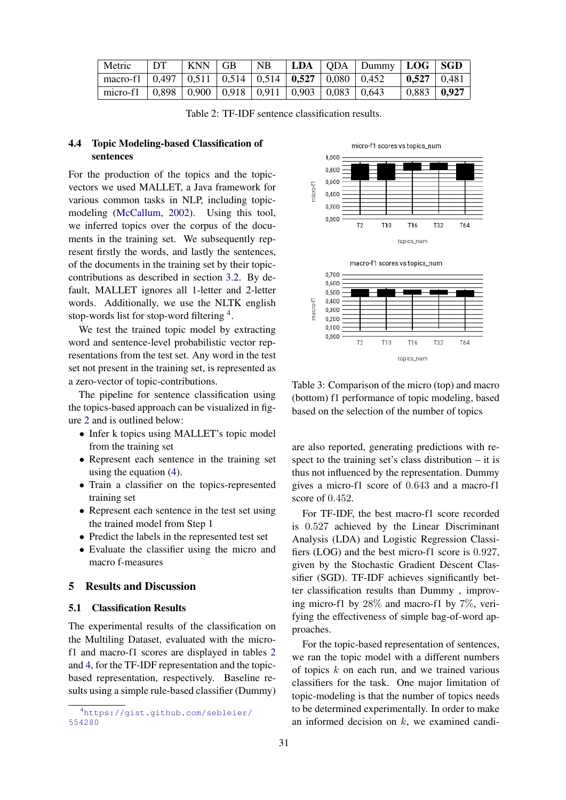| Metric                                                           | $\Box$ DT | $ $ KNN $ $ GB |  |  | $\vert$ NB $\vert$ LDA $\vert$ QDA $\vert$ Dummy $\vert$ LOG $\vert$ SGD |                                     |
|------------------------------------------------------------------|-----------|----------------|--|--|--------------------------------------------------------------------------|-------------------------------------|
| macro-f1   0,497   0,511   0,514   0,514   0,527   0,080   0,452 |           |                |  |  |                                                                          | $\vert$ 0.527 $\vert$ 0.481 $\vert$ |
| micro-f1   0,898   0,900   0,918   0,911   0,903   0,083   0,643 |           |                |  |  |                                                                          | $\vert 0.883 \vert 0.927 \vert$     |

<span id="page-5-1"></span>Table 2: TF-IDF sentence classification results.

# 4.4 Topic Modeling-based Classification of sentences

For the production of the topics and the topicvectors we used MALLET, a Java framework for various common tasks in NLP, including topicmodeling [\(McCallum,](#page-8-17) [2002\)](#page-8-17). Using this tool, we inferred topics over the corpus of the documents in the training set. We subsequently represent firstly the words, and lastly the sentences, of the documents in the training set by their topiccontributions as described in section [3.2.](#page-3-1) By default, MALLET ignores all 1-letter and 2-letter words. Additionally, we use the NLTK english stop-words list for stop-word filtering <sup>[4](#page-5-0)</sup>.

We test the trained topic model by extracting word and sentence-level probabilistic vector representations from the test set. Any word in the test set not present in the training set, is represented as a zero-vector of topic-contributions.

The pipeline for sentence classification using the topics-based approach can be visualized in figure [2](#page-3-2) and is outlined below:

- Infer k topics using MALLET's topic model from the training set
- Represent each sentence in the training set using the equation [\(4\)](#page-3-3).
- Train a classifier on the topics-represented training set
- Represent each sentence in the test set using the trained model from Step 1
- Predict the labels in the represented test set
- Evaluate the classifier using the micro and macro f-measures

# 5 Results and Discussion

# 5.1 Classification Results

The experimental results of the classification on the Multiling Dataset, evaluated with the microf1 and macro-f1 scores are displayed in tables [2](#page-5-1) and [4,](#page-6-0) for the TF-IDF representation and the topicbased representation, respectively. Baseline results using a simple rule-based classifier (Dummy)





<span id="page-5-2"></span>Table 3: Comparison of the micro (top) and macro (bottom) f1 performance of topic modeling, based based on the selection of the number of topics

are also reported, generating predictions with respect to the training set's class distribution – it is thus not influenced by the representation. Dummy gives a micro-f1 score of 0.643 and a macro-f1 score of 0.452.

For TF-IDF, the best macro-f1 score recorded is 0.527 achieved by the Linear Discriminant Analysis (LDA) and Logistic Regression Classifiers (LOG) and the best micro-f1 score is 0.927, given by the Stochastic Gradient Descent Classifier (SGD). TF-IDF achieves significantly better classification results than Dummy , improving micro-f1 by 28% and macro-f1 by 7%, verifying the effectiveness of simple bag-of-word approaches.

For the topic-based representation of sentences, we ran the topic model with a different numbers of topics  $k$  on each run, and we trained various classifiers for the task. One major limitation of topic-modeling is that the number of topics needs to be determined experimentally. In order to make an informed decision on  $k$ , we examined candi-

<span id="page-5-0"></span><sup>4</sup>[https://gist.github.com/sebleier/](https://gist.github.com/sebleier/554280) [554280](https://gist.github.com/sebleier/554280)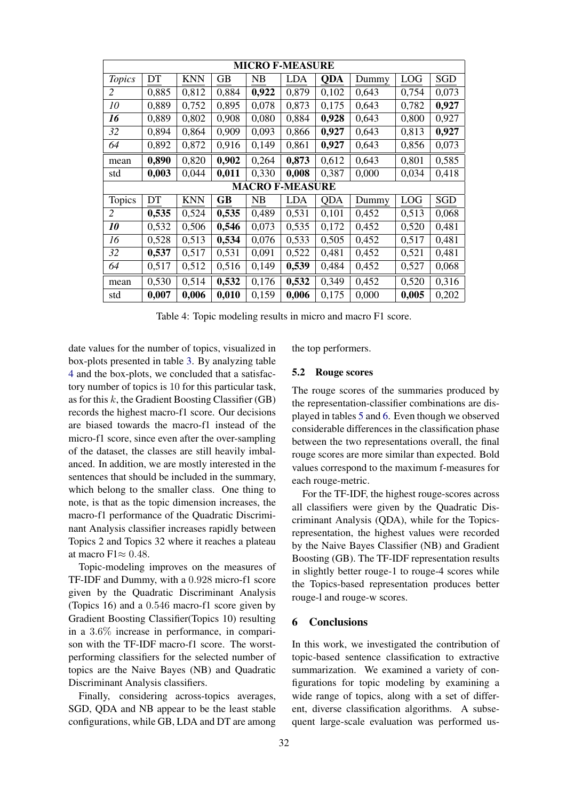| <b>MICRO F-MEASURE</b> |       |            |       |                        |            |            |       |       |            |
|------------------------|-------|------------|-------|------------------------|------------|------------|-------|-------|------------|
| <b>Topics</b>          | DT    | <b>KNN</b> | GВ    | NB                     | <b>LDA</b> | <b>QDA</b> | Dummy | LOG   | <b>SGD</b> |
| 2                      | 0,885 | 0,812      | 0,884 | 0,922                  | 0,879      | 0,102      | 0,643 | 0,754 | 0,073      |
| 10                     | 0,889 | 0,752      | 0,895 | 0,078                  | 0,873      | 0,175      | 0,643 | 0,782 | 0,927      |
| 16                     | 0,889 | 0,802      | 0,908 | 0,080                  | 0,884      | 0,928      | 0,643 | 0,800 | 0,927      |
| 32                     | 0,894 | 0,864      | 0,909 | 0,093                  | 0,866      | 0,927      | 0,643 | 0,813 | 0,927      |
| 64                     | 0,892 | 0,872      | 0,916 | 0,149                  | 0,861      | 0,927      | 0,643 | 0,856 | 0,073      |
| mean                   | 0,890 | 0,820      | 0,902 | 0,264                  | 0,873      | 0,612      | 0,643 | 0,801 | 0,585      |
| std                    | 0,003 | 0,044      | 0,011 | 0,330                  | 0,008      | 0,387      | 0,000 | 0,034 | 0,418      |
|                        |       |            |       | <b>MACRO F-MEASURE</b> |            |            |       |       |            |
| Topics                 | DT    | <b>KNN</b> | GB    | NB                     | LDA        | <b>QDA</b> | Dummy | LOG   | SGD        |
| 2                      | 0,535 | 0,524      | 0,535 | 0,489                  | 0,531      | 0,101      | 0,452 | 0,513 | 0,068      |
| 10                     | 0,532 | 0,506      | 0,546 | 0,073                  | 0,535      | 0,172      | 0,452 | 0,520 | 0,481      |
| 16                     | 0,528 | 0,513      | 0,534 | 0,076                  | 0,533      | 0,505      | 0,452 | 0,517 | 0,481      |
| 32                     | 0,537 | 0,517      | 0,531 | 0,091                  | 0,522      | 0,481      | 0,452 | 0,521 | 0,481      |
| 64                     | 0,517 | 0,512      | 0,516 | 0,149                  | 0,539      | 0,484      | 0,452 | 0,527 | 0,068      |
| mean                   | 0,530 | 0,514      | 0,532 | 0,176                  | 0,532      | 0,349      | 0,452 | 0,520 | 0,316      |
| std                    | 0,007 | 0,006      | 0,010 | 0,159                  | 0,006      | 0,175      | 0,000 | 0,005 | 0,202      |

<span id="page-6-0"></span>Table 4: Topic modeling results in micro and macro F1 score.

date values for the number of topics, visualized in box-plots presented in table [3.](#page-5-2) By analyzing table [4](#page-6-0) and the box-plots, we concluded that a satisfactory number of topics is 10 for this particular task, as for this  $k$ , the Gradient Boosting Classifier (GB) records the highest macro-f1 score. Our decisions are biased towards the macro-f1 instead of the micro-f1 score, since even after the over-sampling of the dataset, the classes are still heavily imbalanced. In addition, we are mostly interested in the sentences that should be included in the summary, which belong to the smaller class. One thing to note, is that as the topic dimension increases, the macro-f1 performance of the Quadratic Discriminant Analysis classifier increases rapidly between Topics 2 and Topics 32 where it reaches a plateau at macro F1 $\approx 0.48$ .

Topic-modeling improves on the measures of TF-IDF and Dummy, with a 0.928 micro-f1 score given by the Quadratic Discriminant Analysis (Topics 16) and a 0.546 macro-f1 score given by Gradient Boosting Classifier(Topics 10) resulting in a 3.6% increase in performance, in comparison with the TF-IDF macro-f1 score. The worstperforming classifiers for the selected number of topics are the Naive Bayes (NB) and Quadratic Discriminant Analysis classifiers.

Finally, considering across-topics averages, SGD, QDA and NB appear to be the least stable configurations, while GB, LDA and DT are among the top performers.

#### 5.2 Rouge scores

The rouge scores of the summaries produced by the representation-classifier combinations are displayed in tables [5](#page-7-0) and [6.](#page-7-1) Even though we observed considerable differences in the classification phase between the two representations overall, the final rouge scores are more similar than expected. Bold values correspond to the maximum f-measures for each rouge-metric.

For the TF-IDF, the highest rouge-scores across all classifiers were given by the Quadratic Discriminant Analysis (QDA), while for the Topicsrepresentation, the highest values were recorded by the Naive Bayes Classifier (NB) and Gradient Boosting (GB). The TF-IDF representation results in slightly better rouge-1 to rouge-4 scores while the Topics-based representation produces better rouge-l and rouge-w scores.

## 6 Conclusions

In this work, we investigated the contribution of topic-based sentence classification to extractive summarization. We examined a variety of configurations for topic modeling by examining a wide range of topics, along with a set of different, diverse classification algorithms. A subsequent large-scale evaluation was performed us-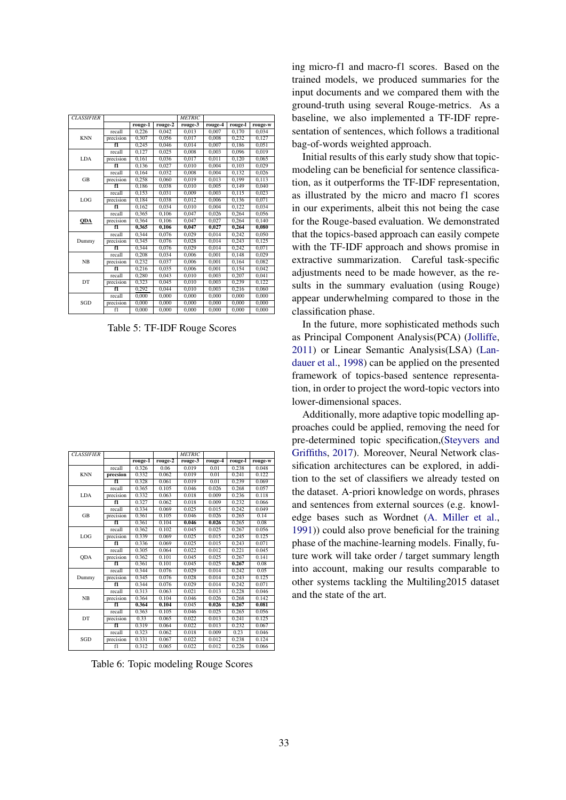| <b>CLASSIFIER</b> |                |         |         | <b>METRIC</b> |         |         |         |
|-------------------|----------------|---------|---------|---------------|---------|---------|---------|
|                   |                | rouge-1 | rouge-2 | rouge-3       | rouge-4 | rouge-l | rouge-w |
|                   | recall         | 0.226   | 0.042   | 0.013         | 0.007   | 0,170   | 0.034   |
| <b>KNN</b>        | precision      | 0.307   | 0.056   | 0.017         | 0.008   | 0,232   | 0,127   |
|                   | f1             | 0,245   | 0,046   | 0,014         | 0,007   | 0,186   | 0,051   |
|                   | recall         | 0.127   | 0.025   | 0.008         | 0.003   | 0.096   | 0.019   |
| LDA               | precision      | 0.161   | 0.036   | 0.017         | 0.011   | 0,120   | 0,065   |
|                   | f1             | 0.136   | 0.027   | 0.010         | 0.004   | 0.103   | 0.029   |
|                   | recall         | 0,164   | 0,032   | 0,008         | 0,004   | 0,132   | 0,026   |
| <b>GB</b>         | precision      | 0.258   | 0.060   | 0.019         | 0.013   | 0.199   | 0,113   |
|                   | $\overline{f}$ | 0,186   | 0,038   | 0,010         | 0,005   | 0,149   | 0,040   |
|                   | recall         | 0,153   | 0,031   | 0.009         | 0.003   | 0,115   | 0,023   |
| LOG               | precision      | 0,184   | 0,038   | 0,012         | 0,006   | 0,136   | 0,071   |
|                   | f1             | 0.162   | 0.034   | 0.010         | 0.004   | 0.122   | 0.034   |
|                   | recall         | 0.365   | 0.106   | 0.047         | 0.026   | 0.264   | 0.056   |
| <b>QDA</b>        | precision      | 0.364   | 0,106   | 0.047         | 0,027   | 0,264   | 0,140   |
|                   | f1             | 0,365   | 0,106   | 0,047         | 0,027   | 0,264   | 0,080   |
|                   | recall         | 0,344   | 0,076   | 0,029         | 0,014   | 0,242   | 0,050   |
| Dummy             | precision      | 0,345   | 0.076   | 0.028         | 0.014   | 0.243   | 0,125   |
|                   | f1             | 0,344   | 0,076   | 0.029         | 0,014   | 0,242   | 0,071   |
|                   | recall         | 0,208   | 0,034   | 0.006         | 0,001   | 0,148   | 0,029   |
| NB                | precision      | 0,232   | 0,037   | 0,006         | 0,001   | 0,164   | 0,082   |
|                   | f1             | 0,216   | 0,035   | 0.006         | 0.001   | 0,154   | 0,042   |
| DT                | recall         | 0.280   | 0.043   | 0.010         | 0.003   | 0.207   | 0,041   |
|                   | precision      | 0,323   | 0.045   | 0,010         | 0,003   | 0,239   | 0,122   |
|                   | f1             | 0,292   | 0,044   | 0,010         | 0,003   | 0,216   | 0,060   |
|                   | recall         | 0.000   | 0.000   | 0.000         | 0,000   | 0.000   | 0,000   |
| SGD               | precision      | 0.000   | 0,000   | 0.000         | 0,000   | 0,000   | 0,000   |
|                   | f1             | 0.000   | 0,000   | 0.000         | 0,000   | 0,000   | 0,000   |

<span id="page-7-0"></span>Table 5: TF-IDF Rouge Scores

| <b>CLASSIFIER</b> |           |         |         | <b>METRIC</b> |         |         |         |
|-------------------|-----------|---------|---------|---------------|---------|---------|---------|
|                   |           | rouge-1 | rouge-2 | rouge-3       | rouge-4 | rouge-l | rouge-w |
|                   | recall    | 0.326   | 0.06    | 0.019         | 0.01    | 0.238   | 0.048   |
| <b>KNN</b>        | precsion  | 0.332   | 0.062   | 0.019         | 0.01    | 0.241   | 0.122   |
|                   | f1        | 0.328   | 0.061   | 0.019         | 0.01    | 0.239   | 0.069   |
|                   | recall    | 0.365   | 0.105   | 0.046         | 0.026   | 0.268   | 0.057   |
| LDA               | precision | 0.332   | 0.063   | 0.018         | 0.009   | 0.236   | 0.118   |
|                   | f1        | 0.327   | 0.062   | 0.018         | 0.009   | 0.232   | 0.066   |
|                   | recall    | 0.334   | 0.069   | 0.025         | 0.015   | 0.242   | 0.049   |
| <b>GB</b>         | precision | 0.361   | 0.105   | 0.046         | 0.026   | 0.265   | 0.14    |
|                   | f1        | 0.361   | 0.104   | 0.046         | 0.026   | 0.265   | 0.08    |
|                   | recall    | 0.362   | 0.102   | 0.045         | 0.025   | 0.267   | 0.056   |
| LOG               | precision | 0.339   | 0.069   | 0.025         | 0.015   | 0.245   | 0.125   |
|                   | f1        | 0.336   | 0.069   | 0.025         | 0.015   | 0.243   | 0.071   |
|                   | recall    | 0.305   | 0.064   | 0.022         | 0.012   | 0.221   | 0.045   |
| QDA               | precision | 0.362   | 0.101   | 0.045         | 0.025   | 0.267   | 0.141   |
|                   | f1        | 0.361   | 0.101   | 0.045         | 0.025   | 0.267   | 0.08    |
|                   | recall    | 0.344   | 0.076   | 0.029         | 0.014   | 0.242   | 0.05    |
| Dummy             | precision | 0.345   | 0.076   | 0.028         | 0.014   | 0.243   | 0.125   |
|                   | f1        | 0.344   | 0.076   | 0.029         | 0.014   | 0.242   | 0.071   |
|                   | recall    | 0.313   | 0.063   | 0.021         | 0.013   | 0.228   | 0.046   |
| NB                | precision | 0.364   | 0.104   | 0.046         | 0.026   | 0.268   | 0.142   |
|                   | f1        | 0.364   | 0.104   | 0.045         | 0.026   | 0.267   | 0.081   |
| DT                | recall    | 0.363   | 0.105   | 0.046         | 0.025   | 0.265   | 0.056   |
|                   | precision | 0.33    | 0.065   | 0.022         | 0.013   | 0.241   | 0.125   |
|                   | f1        | 0.319   | 0.064   | 0.022         | 0.013   | 0.232   | 0.067   |
| SGD               | recall    | 0.323   | 0.062   | 0.018         | 0.009   | 0.23    | 0.046   |
|                   | precision | 0.331   | 0.067   | 0.022         | 0.012   | 0.238   | 0.124   |
|                   | fI        | 0.312   | 0.065   | 0.022         | 0.012   | 0.226   | 0.066   |

<span id="page-7-1"></span>Table 6: Topic modeling Rouge Scores

ing micro-f1 and macro-f1 scores. Based on the trained models, we produced summaries for the input documents and we compared them with the ground-truth using several Rouge-metrics. As a baseline, we also implemented a TF-IDF representation of sentences, which follows a traditional bag-of-words weighted approach.

Initial results of this early study show that topicmodeling can be beneficial for sentence classification, as it outperforms the TF-IDF representation, as illustrated by the micro and macro f1 scores in our experiments, albeit this not being the case for the Rouge-based evaluation. We demonstrated that the topics-based approach can easily compete with the TF-IDF approach and shows promise in extractive summarization. Careful task-specific adjustments need to be made however, as the results in the summary evaluation (using Rouge) appear underwhelming compared to those in the classification phase.

In the future, more sophisticated methods such as Principal Component Analysis(PCA) [\(Jolliffe,](#page-8-18) [2011\)](#page-8-18) or Linear Semantic Analysis(LSA) [\(Lan](#page-8-19)[dauer et al.,](#page-8-19) [1998\)](#page-8-19) can be applied on the presented framework of topics-based sentence representation, in order to project the word-topic vectors into lower-dimensional spaces.

Additionally, more adaptive topic modelling approaches could be applied, removing the need for pre-determined topic specification,[\(Steyvers and](#page-8-1) [Griffiths,](#page-8-1) [2017\)](#page-8-1). Moreover, Neural Network classification architectures can be explored, in addition to the set of classifiers we already tested on the dataset. A-priori knowledge on words, phrases and sentences from external sources (e.g. knowledge bases such as Wordnet [\(A. Miller et al.,](#page-8-20) [1991\)](#page-8-20)) could also prove beneficial for the training phase of the machine-learning models. Finally, future work will take order / target summary length into account, making our results comparable to other systems tackling the Multiling2015 dataset and the state of the art.